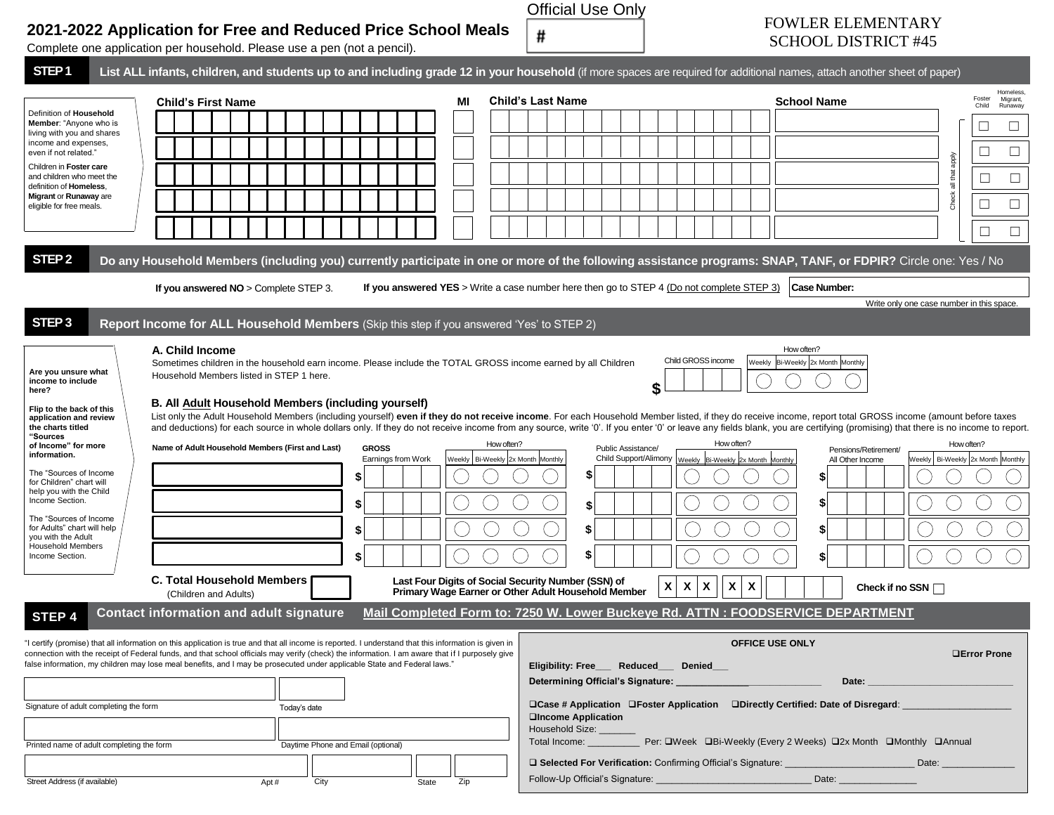|                                                                                                                                                                                                                                                                                                                                                                                                                                                                                                | 2021-2022 Application for Free and Reduced Price School Meals<br>Complete one application per household. Please use a pen (not a pencil).                                                                                                                                                                                                                                                                                                                                                                                                                                                                                                                                                                                               |      |                                                            |              | #                                                                                                          | <b>Official Use Only</b>                         |                                                                                                   |                                                 | <b>FOWLER ELEMENTARY</b><br><b>SCHOOL DISTRICT #45</b>                                                           |                                           |                                                                                                                 |
|------------------------------------------------------------------------------------------------------------------------------------------------------------------------------------------------------------------------------------------------------------------------------------------------------------------------------------------------------------------------------------------------------------------------------------------------------------------------------------------------|-----------------------------------------------------------------------------------------------------------------------------------------------------------------------------------------------------------------------------------------------------------------------------------------------------------------------------------------------------------------------------------------------------------------------------------------------------------------------------------------------------------------------------------------------------------------------------------------------------------------------------------------------------------------------------------------------------------------------------------------|------|------------------------------------------------------------|--------------|------------------------------------------------------------------------------------------------------------|--------------------------------------------------|---------------------------------------------------------------------------------------------------|-------------------------------------------------|------------------------------------------------------------------------------------------------------------------|-------------------------------------------|-----------------------------------------------------------------------------------------------------------------|
| STEP <sub>1</sub>                                                                                                                                                                                                                                                                                                                                                                                                                                                                              | List ALL infants, children, and students up to and including grade 12 in your household (if more spaces are required for additional names, attach another sheet of paper)                                                                                                                                                                                                                                                                                                                                                                                                                                                                                                                                                               |      |                                                            |              |                                                                                                            |                                                  |                                                                                                   |                                                 |                                                                                                                  |                                           |                                                                                                                 |
| Definition of Household<br>Member: "Anyone who is<br>living with you and shares<br>income and expenses,<br>even if not related."<br>Children in Foster care<br>and children who meet the<br>definition of Homeless,<br>Migrant or Runaway are<br>eligible for free meals.                                                                                                                                                                                                                      | <b>Child's First Name</b>                                                                                                                                                                                                                                                                                                                                                                                                                                                                                                                                                                                                                                                                                                               |      |                                                            | MI           | <b>Child's Last Name</b>                                                                                   |                                                  |                                                                                                   | <b>School Name</b>                              |                                                                                                                  | apply<br>all that<br>Check                | Homeless,<br>Foster<br>Migrant,<br>Child<br>Runaway<br>$\Box$<br>$\Box$<br>$\Box$<br>$\Box$<br>$\Box$<br>$\Box$ |
| STEP <sub>2</sub>                                                                                                                                                                                                                                                                                                                                                                                                                                                                              | Do any Household Members (including you) currently participate in one or more of the following assistance programs: SNAP, TANF, or FDPIR? Circle one: Yes / No                                                                                                                                                                                                                                                                                                                                                                                                                                                                                                                                                                          |      |                                                            |              |                                                                                                            |                                                  |                                                                                                   |                                                 |                                                                                                                  |                                           |                                                                                                                 |
|                                                                                                                                                                                                                                                                                                                                                                                                                                                                                                | If you answered $NO >$ Complete STEP 3.                                                                                                                                                                                                                                                                                                                                                                                                                                                                                                                                                                                                                                                                                                 |      |                                                            |              | If you answered YES > Write a case number here then go to STEP 4 (Do not complete STEP 3)                  |                                                  |                                                                                                   |                                                 | Case Number:                                                                                                     |                                           |                                                                                                                 |
|                                                                                                                                                                                                                                                                                                                                                                                                                                                                                                |                                                                                                                                                                                                                                                                                                                                                                                                                                                                                                                                                                                                                                                                                                                                         |      |                                                            |              |                                                                                                            |                                                  |                                                                                                   |                                                 |                                                                                                                  | Write only one case number in this space. |                                                                                                                 |
| STEP <sub>3</sub>                                                                                                                                                                                                                                                                                                                                                                                                                                                                              | Report Income for ALL Household Members (Skip this step if you answered 'Yes' to STEP 2)                                                                                                                                                                                                                                                                                                                                                                                                                                                                                                                                                                                                                                                |      |                                                            |              |                                                                                                            |                                                  |                                                                                                   |                                                 |                                                                                                                  |                                           |                                                                                                                 |
| Are you unsure what<br>income to include<br>here?<br>Flip to the back of this<br>application and review<br>the charts titled<br>"Sources<br>of Income" for more<br>information.<br>The "Sources of Income<br>for Children" chart will<br>help you with the Child<br>Income Section.<br>The "Sources of Income<br>for Adults" chart will help<br>you with the Adult<br><b>Household Members</b><br>Income Section.                                                                              | A. Child Income<br>Sometimes children in the household earn income. Please include the TOTAL GROSS income earned by all Children<br>Household Members listed in STEP 1 here.<br>B. All Adult Household Members (including yourself)<br>List only the Adult Household Members (including yourself) even if they do not receive income. For each Household Member listed, if they do receive income, report total GROSS income (amount before taxes<br>and deductions) for each source in whole dollars only. If they do not receive income from any source, write '0'. If you enter '0' or leave any fields blank, you are certifying (promising) that there is no income to report.<br>Name of Adult Household Members (First and Last) |      | <b>GROSS</b><br>Earnings from Work<br>\$<br>\$<br>\$<br>\$ |              | How often?<br>Weekly   Bi-Weekly 2x Month Monthly                                                          | \$<br>Public Assistance/<br>\$<br>\$<br>\$<br>\$ | Child GROSS income<br>How often?<br>Child Support/Alimony   Weekly   Bi-Weekly   2x Month Monthly | How often?<br>Weekly Bi-Weekly 2x Month Monthly | Pensions/Retirement/<br>All Other Income<br>S<br>\$                                                              | How often?                                | Weekly   Bi-Weekly 2x Month Monthly                                                                             |
|                                                                                                                                                                                                                                                                                                                                                                                                                                                                                                | <b>C. Total Household Members</b><br>(Children and Adults)                                                                                                                                                                                                                                                                                                                                                                                                                                                                                                                                                                                                                                                                              |      |                                                            |              | Last Four Digits of Social Security Number (SSN) of<br>Primary Wage Earner or Other Adult Household Member |                                                  | Χ<br>$\boldsymbol{\mathsf{X}}$<br>X<br>X                                                          | X                                               |                                                                                                                  | Check if no SSN $\Box$                    |                                                                                                                 |
| STEP 4                                                                                                                                                                                                                                                                                                                                                                                                                                                                                         | <b>Contact information and adult signature</b>                                                                                                                                                                                                                                                                                                                                                                                                                                                                                                                                                                                                                                                                                          |      |                                                            |              |                                                                                                            |                                                  |                                                                                                   |                                                 | Mail Completed Form to: 7250 W. Lower Buckeye Rd. ATTN : FOODSERVICE DEPARTMENT                                  |                                           |                                                                                                                 |
| "I certify (promise) that all information on this application is true and that all income is reported. I understand that this information is given in<br>connection with the receipt of Federal funds, and that school officials may verify (check) the information. I am aware that if I purposely give<br>false information, my children may lose meal benefits, and I may be prosecuted under applicable State and Federal laws."<br>Signature of adult completing the form<br>Today's date |                                                                                                                                                                                                                                                                                                                                                                                                                                                                                                                                                                                                                                                                                                                                         |      |                                                            |              | <b>QIncome Application</b><br>Household Size:                                                              | Eligibility: Free Reduced Denied                 |                                                                                                   | <b>OFFICE USE ONLY</b>                          | Date: ______<br>□Case # Application □Foster Application □Directly Certified: Date of Disregard:                  |                                           | <b>QError Prone</b>                                                                                             |
| Daytime Phone and Email (optional)<br>Printed name of adult completing the form                                                                                                                                                                                                                                                                                                                                                                                                                |                                                                                                                                                                                                                                                                                                                                                                                                                                                                                                                                                                                                                                                                                                                                         |      |                                                            |              |                                                                                                            |                                                  |                                                                                                   |                                                 |                                                                                                                  |                                           |                                                                                                                 |
| Street Address (if available)                                                                                                                                                                                                                                                                                                                                                                                                                                                                  | Apt#                                                                                                                                                                                                                                                                                                                                                                                                                                                                                                                                                                                                                                                                                                                                    | City |                                                            | Zip<br>State |                                                                                                            |                                                  |                                                                                                   |                                                 | □ Selected For Verification: Confirming Official's Signature: Date: Date: Date: Date:<br>Date: _________________ |                                           |                                                                                                                 |